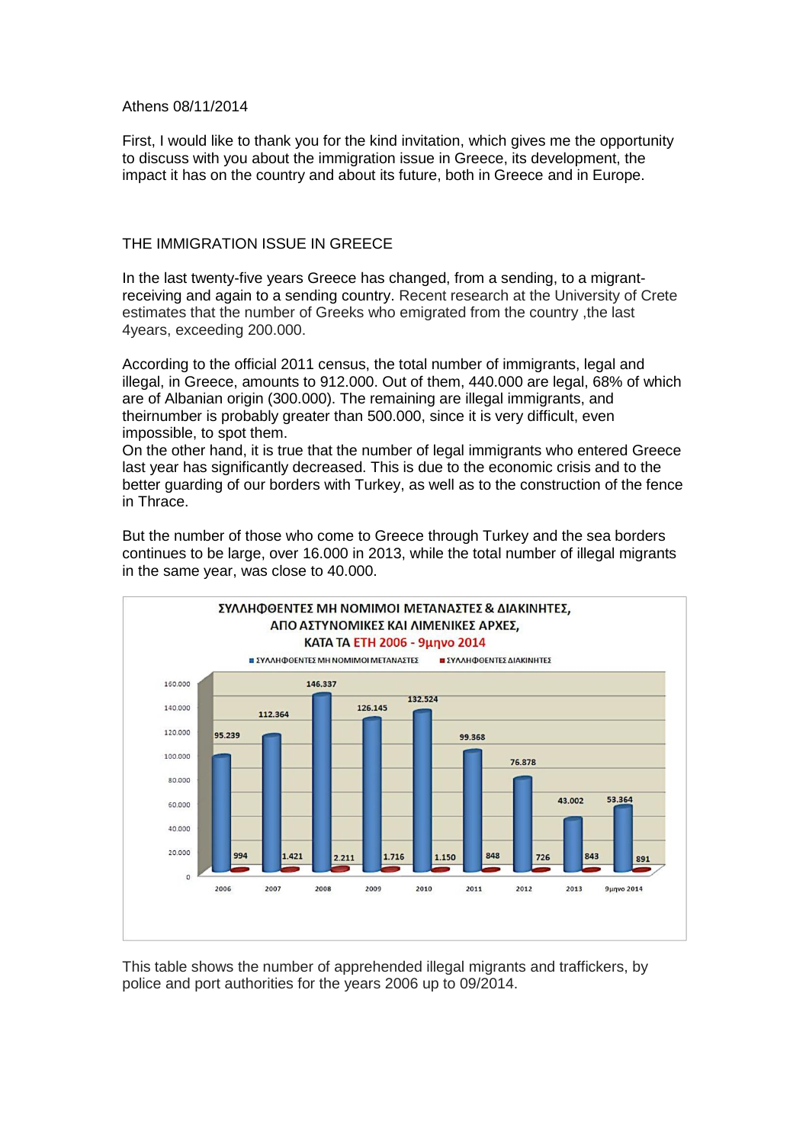## Athens 08/11/2014

First, I would like to thank you for the kind invitation, which gives me the opportunity to discuss with you about the immigration issue in Greece, its development, the impact it has on the country and about its future, both in Greece and in Europe.

## THE IMMIGRATION ISSUE IN GREECE

In the last twenty-five years Greece has changed, from a sending, to a migrantreceiving and again to a sending country. Recent research at the University of Crete estimates that the number of Greeks who emigrated from the country ,the last 4years, exceeding 200.000.

According to the official 2011 census, the total number of immigrants, legal and illegal, in Greece, amounts to 912.000. Out of them, 440.000 are legal, 68% of which are of Albanian origin (300.000). The remaining are illegal immigrants, and theirnumber is probably greater than 500.000, since it is very difficult, even impossible, to spot them.

On the other hand, it is true that the number of legal immigrants who entered Greece last year has significantly decreased. This is due to the economic crisis and to the better guarding of our borders with Turkey, as well as to the construction of the fence in Thrace.



But the number of those who come to Greece through Turkey and the sea borders continues to be large, over 16.000 in 2013, while the total number of illegal migrants in the same year, was close to 40.000.

This table shows the number of apprehended illegal migrants and traffickers, by police and port authorities for the years 2006 up to 09/2014.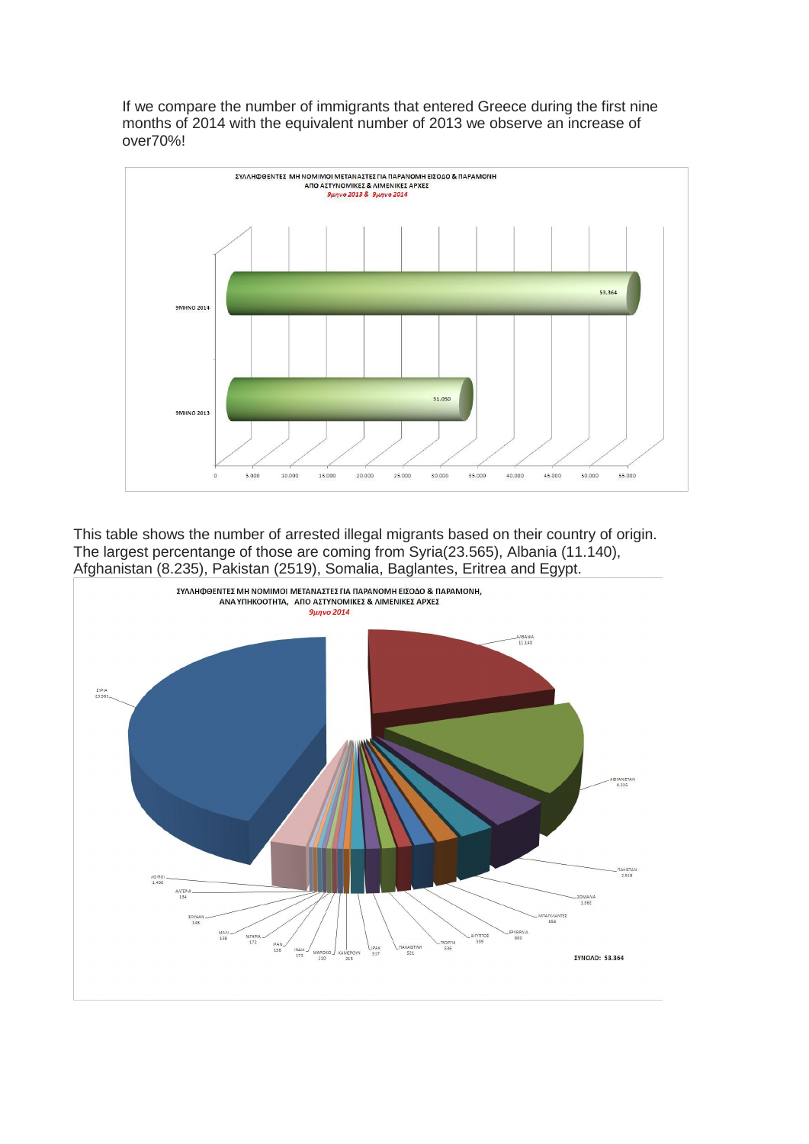If we compare the number of immigrants that entered Greece during the first nine months of 2014 with the equivalent number of 2013 we observe an increase of over70%!



This table shows the number of arrested illegal migrants based on their country of origin. The largest percentange of those are coming from Syria(23.565), Albania (11.140), Afghanistan (8.235), Pakistan (2519), Somalia, Baglantes, Eritrea and Egypt.

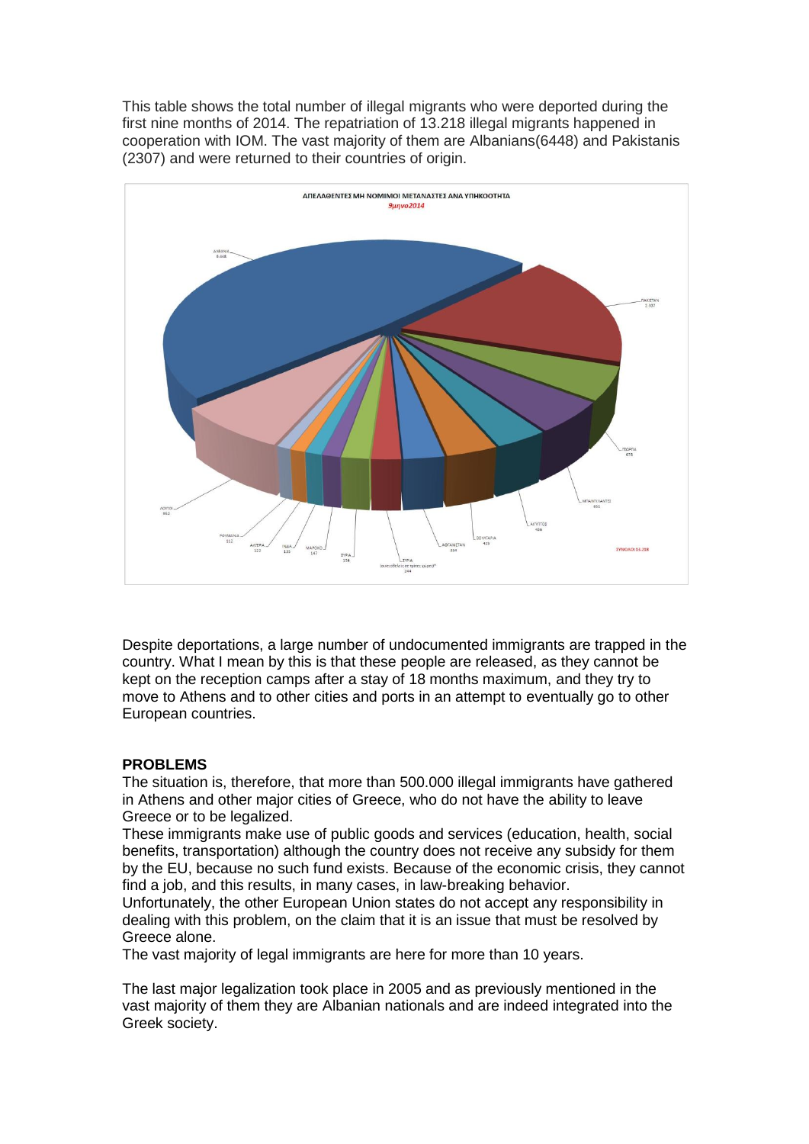This table shows the total number of illegal migrants who were deported during the first nine months of 2014. The repatriation of 13.218 illegal migrants happened in cooperation with IOM. The vast majority of them are Albanians(6448) and Pakistanis (2307) and were returned to their countries of origin.



Despite deportations, a large number of undocumented immigrants are trapped in the country. What I mean by this is that these people are released, as they cannot be kept on the reception camps after a stay of 18 months maximum, and they try to move to Athens and to other cities and ports in an attempt to eventually go to other European countries.

## **PROBLEMS**

The situation is, therefore, that more than 500.000 illegal immigrants have gathered in Athens and other major cities of Greece, who do not have the ability to leave Greece or to be legalized.

These immigrants make use of public goods and services (education, health, social benefits, transportation) although the country does not receive any subsidy for them by the EU, because no such fund exists. Because of the economic crisis, they cannot find a job, and this results, in many cases, in law-breaking behavior.

Unfortunately, the other European Union states do not accept any responsibility in dealing with this problem, on the claim that it is an issue that must be resolved by Greece alone.

The vast majority of legal immigrants are here for more than 10 years.

The last major legalization took place in 2005 and as previously mentioned in the vast majority of them they are Albanian nationals and are indeed integrated into the Greek society.